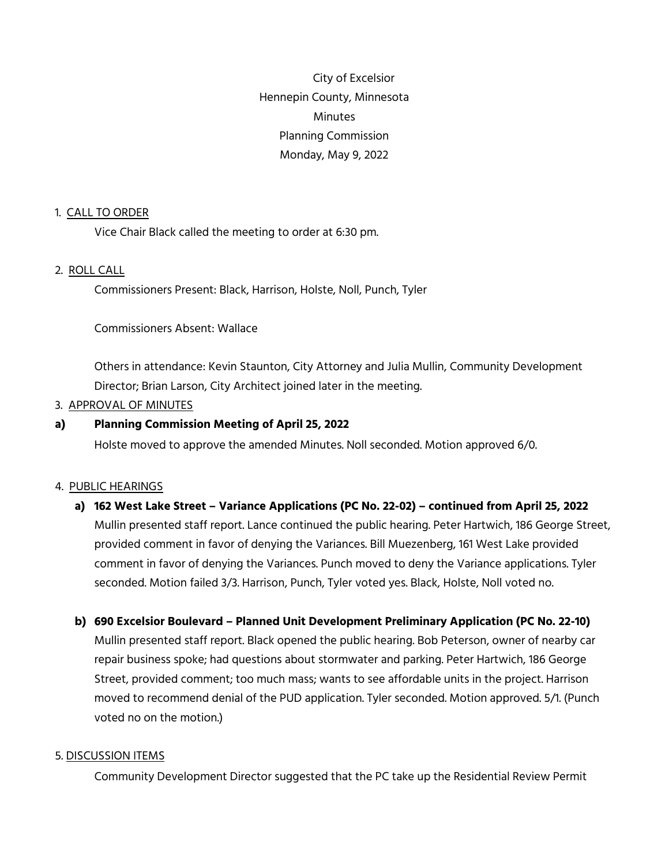City of Excelsior Hennepin County, Minnesota **Minutes** Planning Commission Monday, May 9, 2022

#### 1. CALL TO ORDER

Vice Chair Black called the meeting to order at 6:30 pm.

#### 2. ROLL CALL

Commissioners Present: Black, Harrison, Holste, Noll, Punch, Tyler

Commissioners Absent: Wallace

Others in attendance: Kevin Staunton, City Attorney and Julia Mullin, Community Development Director; Brian Larson, City Architect joined later in the meeting.

# 3. APPROVAL OF MINUTES

#### **a) Planning Commission Meeting of April 25, 2022**

Holste moved to approve the amended Minutes. Noll seconded. Motion approved 6/0.

#### 4. PUBLIC HEARINGS

# **a) 162 West Lake Street – Variance Applications (PC No. 22-02) – continued from April 25, 2022**

Mullin presented staff report. Lance continued the public hearing. Peter Hartwich, 186 George Street, provided comment in favor of denying the Variances. Bill Muezenberg, 161 West Lake provided comment in favor of denying the Variances. Punch moved to deny the Variance applications. Tyler seconded. Motion failed 3/3. Harrison, Punch, Tyler voted yes. Black, Holste, Noll voted no.

# **b) 690 Excelsior Boulevard – Planned Unit Development Preliminary Application (PC No. 22-10)**

Mullin presented staff report. Black opened the public hearing. Bob Peterson, owner of nearby car repair business spoke; had questions about stormwater and parking. Peter Hartwich, 186 George Street, provided comment; too much mass; wants to see affordable units in the project. Harrison moved to recommend denial of the PUD application. Tyler seconded. Motion approved. 5/1. (Punch voted no on the motion.)

#### 5. DISCUSSION ITEMS

Community Development Director suggested that the PC take up the Residential Review Permit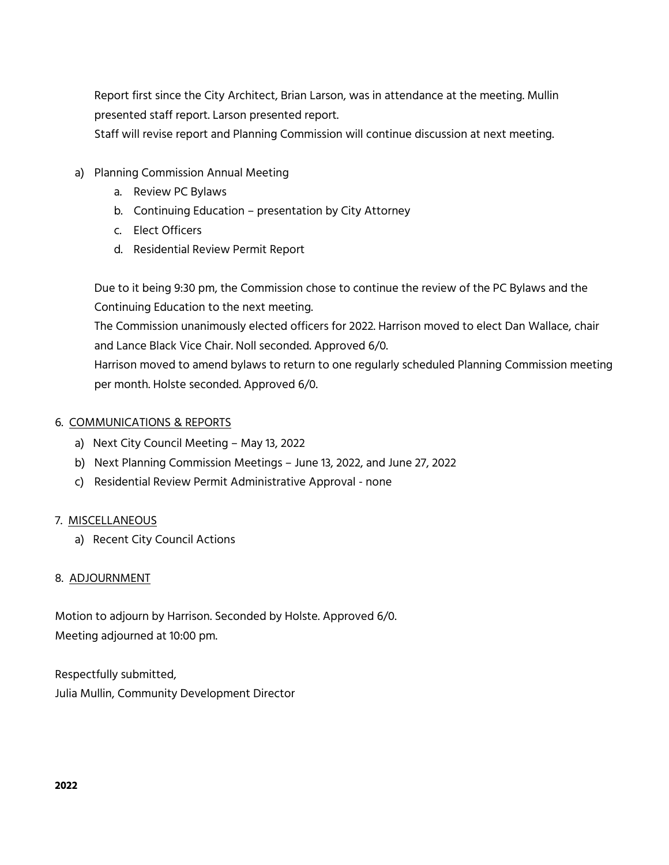Report first since the City Architect, Brian Larson, was in attendance at the meeting. Mullin presented staff report. Larson presented report.

Staff will revise report and Planning Commission will continue discussion at next meeting.

- a) Planning Commission Annual Meeting
	- a. Review PC Bylaws
	- b. Continuing Education presentation by City Attorney
	- c. Elect Officers
	- d. Residential Review Permit Report

Due to it being 9:30 pm, the Commission chose to continue the review of the PC Bylaws and the Continuing Education to the next meeting.

The Commission unanimously elected officers for 2022. Harrison moved to elect Dan Wallace, chair and Lance Black Vice Chair. Noll seconded. Approved 6/0.

Harrison moved to amend bylaws to return to one regularly scheduled Planning Commission meeting per month. Holste seconded. Approved 6/0.

# 6. COMMUNICATIONS & REPORTS

- a) Next City Council Meeting May 13, 2022
- b) Next Planning Commission Meetings June 13, 2022, and June 27, 2022
- c) Residential Review Permit Administrative Approval none

# 7. MISCELLANEOUS

a) Recent City Council Actions

# 8. ADJOURNMENT

Motion to adjourn by Harrison. Seconded by Holste. Approved 6/0. Meeting adjourned at 10:00 pm.

Respectfully submitted, Julia Mullin, Community Development Director